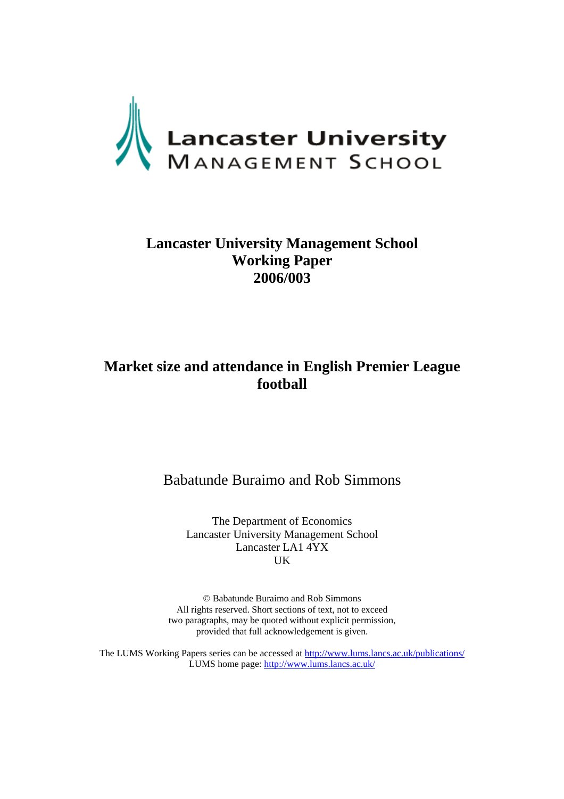

## **Lancaster University Management School Working Paper 2006/003**

## **Market size and attendance in English Premier League football**

Babatunde Buraimo and Rob Simmons

The Department of Economics Lancaster University Management School Lancaster LA1 4YX UK

© Babatunde Buraimo and Rob Simmons All rights reserved. Short sections of text, not to exceed two paragraphs, may be quoted without explicit permission, provided that full acknowledgement is given.

The LUMS Working Papers series can be accessed at<http://www.lums.lancs.ac.uk/publications/> LUMS home page: <http://www.lums.lancs.ac.uk/>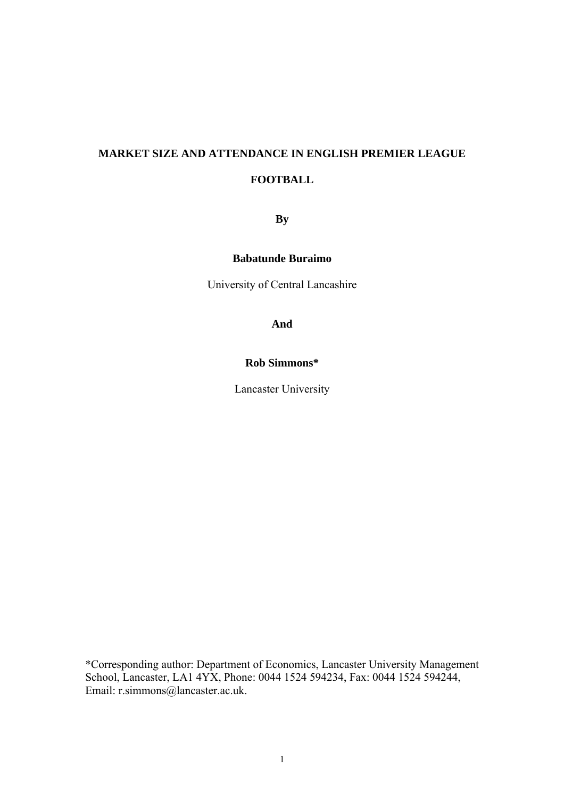# **MARKET SIZE AND ATTENDANCE IN ENGLISH PREMIER LEAGUE FOOTBALL**

**By** 

**Babatunde Buraimo** 

University of Central Lancashire

**And** 

## **Rob Simmons\***

Lancaster University

\*Corresponding author: Department of Economics, Lancaster University Management School, Lancaster, LA1 4YX, Phone: 0044 1524 594234, Fax: 0044 1524 594244, Email: r.simmons@lancaster.ac.uk.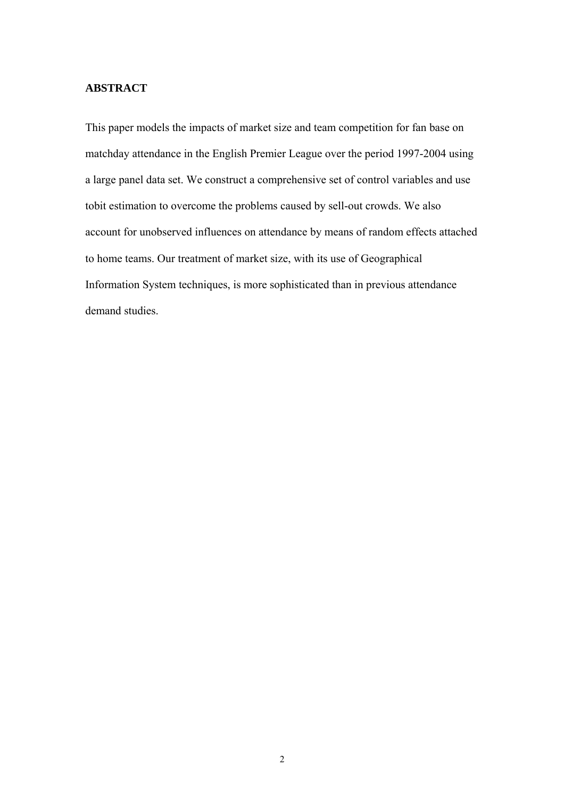### **ABSTRACT**

This paper models the impacts of market size and team competition for fan base on matchday attendance in the English Premier League over the period 1997-2004 using a large panel data set. We construct a comprehensive set of control variables and use tobit estimation to overcome the problems caused by sell-out crowds. We also account for unobserved influences on attendance by means of random effects attached to home teams. Our treatment of market size, with its use of Geographical Information System techniques, is more sophisticated than in previous attendance demand studies.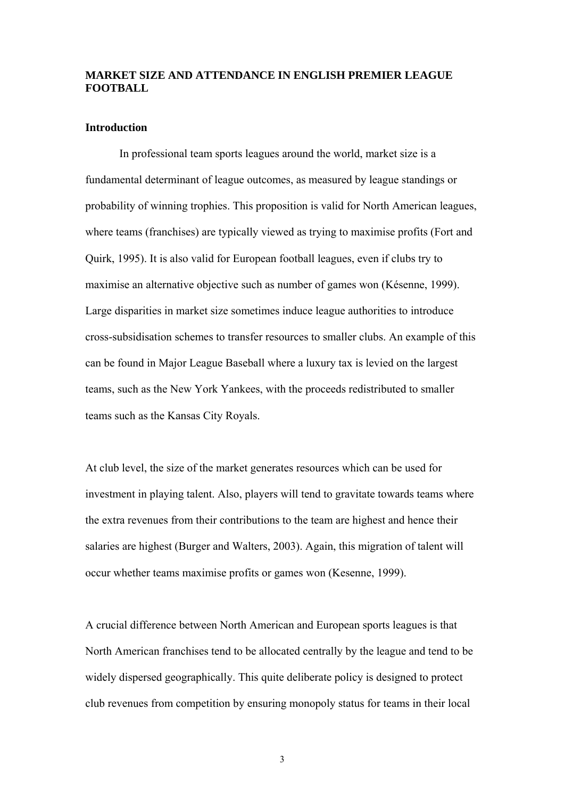### **MARKET SIZE AND ATTENDANCE IN ENGLISH PREMIER LEAGUE FOOTBALL**

#### **Introduction**

In professional team sports leagues around the world, market size is a fundamental determinant of league outcomes, as measured by league standings or probability of winning trophies. This proposition is valid for North American leagues, where teams (franchises) are typically viewed as trying to maximise profits (Fort and Quirk, 1995). It is also valid for European football leagues, even if clubs try to maximise an alternative objective such as number of games won (Késenne, 1999). Large disparities in market size sometimes induce league authorities to introduce cross-subsidisation schemes to transfer resources to smaller clubs. An example of this can be found in Major League Baseball where a luxury tax is levied on the largest teams, such as the New York Yankees, with the proceeds redistributed to smaller teams such as the Kansas City Royals.

At club level, the size of the market generates resources which can be used for investment in playing talent. Also, players will tend to gravitate towards teams where the extra revenues from their contributions to the team are highest and hence their salaries are highest (Burger and Walters, 2003). Again, this migration of talent will occur whether teams maximise profits or games won (Kesenne, 1999).

A crucial difference between North American and European sports leagues is that North American franchises tend to be allocated centrally by the league and tend to be widely dispersed geographically. This quite deliberate policy is designed to protect club revenues from competition by ensuring monopoly status for teams in their local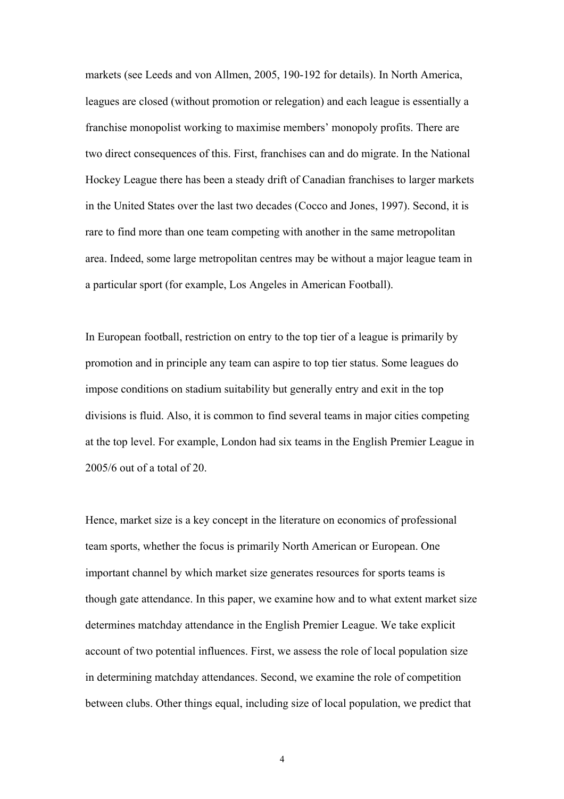markets (see Leeds and von Allmen, 2005, 190-192 for details). In North America, leagues are closed (without promotion or relegation) and each league is essentially a franchise monopolist working to maximise members' monopoly profits. There are two direct consequences of this. First, franchises can and do migrate. In the National Hockey League there has been a steady drift of Canadian franchises to larger markets in the United States over the last two decades (Cocco and Jones, 1997). Second, it is rare to find more than one team competing with another in the same metropolitan area. Indeed, some large metropolitan centres may be without a major league team in a particular sport (for example, Los Angeles in American Football).

In European football, restriction on entry to the top tier of a league is primarily by promotion and in principle any team can aspire to top tier status. Some leagues do impose conditions on stadium suitability but generally entry and exit in the top divisions is fluid. Also, it is common to find several teams in major cities competing at the top level. For example, London had six teams in the English Premier League in 2005/6 out of a total of 20.

Hence, market size is a key concept in the literature on economics of professional team sports, whether the focus is primarily North American or European. One important channel by which market size generates resources for sports teams is though gate attendance. In this paper, we examine how and to what extent market size determines matchday attendance in the English Premier League. We take explicit account of two potential influences. First, we assess the role of local population size in determining matchday attendances. Second, we examine the role of competition between clubs. Other things equal, including size of local population, we predict that

4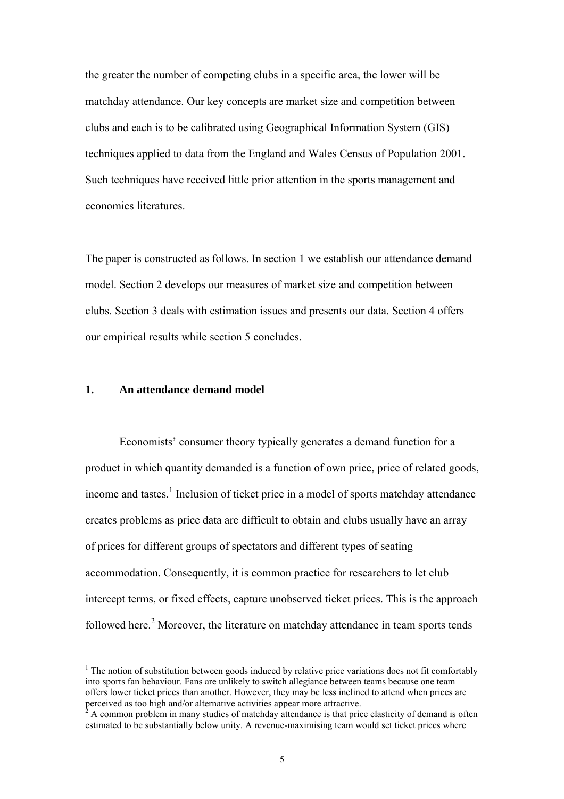the greater the number of competing clubs in a specific area, the lower will be matchday attendance. Our key concepts are market size and competition between clubs and each is to be calibrated using Geographical Information System (GIS) techniques applied to data from the England and Wales Census of Population 2001. Such techniques have received little prior attention in the sports management and economics literatures.

The paper is constructed as follows. In section 1 we establish our attendance demand model. Section 2 develops our measures of market size and competition between clubs. Section 3 deals with estimation issues and presents our data. Section 4 offers our empirical results while section 5 concludes.

### **1. An attendance demand model**

Economists' consumer theory typically generates a demand function for a product in which quantity demanded is a function of own price, price of related goods, income and tastes.<sup>[1](#page-5-0)</sup> Inclusion of ticket price in a model of sports matchday attendance creates problems as price data are difficult to obtain and clubs usually have an array of prices for different groups of spectators and different types of seating accommodation. Consequently, it is common practice for researchers to let club intercept terms, or fixed effects, capture unobserved ticket prices. This is the approach followed here.<sup>2</sup> Moreover, the literature on matchday attendance in team sports tends

<span id="page-5-0"></span> $1$ . The notion of substitution between goods induced by relative price variations does not fit comfortably into sports fan behaviour. Fans are unlikely to switch allegiance between teams because one team offers lower ticket prices than another. However, they may be less inclined to attend when prices are perceived as too high and/or alternative activities appear more attractive.

<span id="page-5-1"></span>A common problem in many studies of matchday attendance is that price elasticity of demand is often estimated to be substantially below unity. A revenue-maximising team would set ticket prices where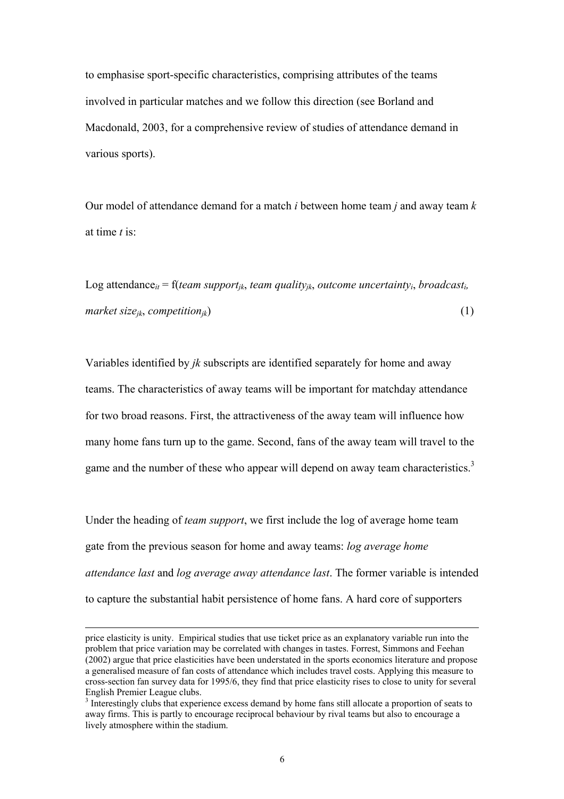to emphasise sport-specific characteristics, comprising attributes of the teams involved in particular matches and we follow this direction (see Borland and Macdonald, 2003, for a comprehensive review of studies of attendance demand in various sports).

Our model of attendance demand for a match *i* between home team *j* and away team *k* at time *t* is:

Log attendance<sub>it</sub> = f(*team support<sub>ik</sub>*, *team quality<sub>ik</sub>*, *outcome uncertainty<sub>i</sub>*, *broadcast<sub>i</sub>*,  $market \text{ size}_{ik}$ , *competition<sub>ik</sub>*) (1)

Variables identified by *jk* subscripts are identified separately for home and away teams. The characteristics of away teams will be important for matchday attendance for two broad reasons. First, the attractiveness of the away team will influence how many home fans turn up to the game. Second, fans of the away team will travel to the game and the number of these who appear will depend on away team characteristics.<sup>[3](#page-6-0)</sup>

Under the heading of *team support*, we first include the log of average home team gate from the previous season for home and away teams: *log average home attendance last* and *log average away attendance last*. The former variable is intended to capture the substantial habit persistence of home fans. A hard core of supporters

 $\overline{\phantom{a}}$ 

price elasticity is unity. Empirical studies that use ticket price as an explanatory variable run into the problem that price variation may be correlated with changes in tastes. Forrest, Simmons and Feehan (2002) argue that price elasticities have been understated in the sports economics literature and propose a generalised measure of fan costs of attendance which includes travel costs. Applying this measure to cross-section fan survey data for 1995/6, they find that price elasticity rises to close to unity for several English Premier League clubs. 3

<span id="page-6-0"></span><sup>&</sup>lt;sup>3</sup> Interestingly clubs that experience excess demand by home fans still allocate a proportion of seats to away firms. This is partly to encourage reciprocal behaviour by rival teams but also to encourage a lively atmosphere within the stadium.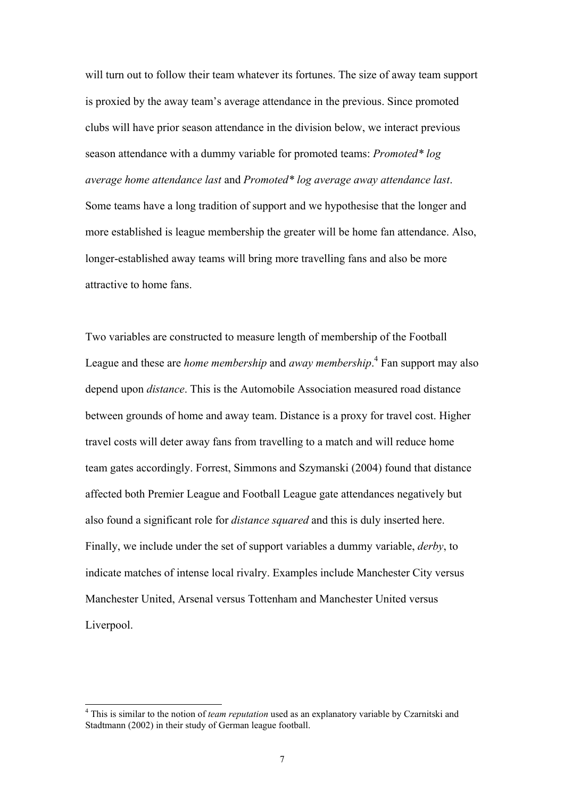will turn out to follow their team whatever its fortunes. The size of away team support is proxied by the away team's average attendance in the previous. Since promoted clubs will have prior season attendance in the division below, we interact previous season attendance with a dummy variable for promoted teams: *Promoted\* log average home attendance last* and *Promoted\* log average away attendance last*. Some teams have a long tradition of support and we hypothesise that the longer and more established is league membership the greater will be home fan attendance. Also, longer-established away teams will bring more travelling fans and also be more attractive to home fans.

Two variables are constructed to measure length of membership of the Football League and these are *home membership* and *away membership*. 4  [F](#page-7-0)an support may also depend upon *distance*. This is the Automobile Association measured road distance between grounds of home and away team. Distance is a proxy for travel cost. Higher travel costs will deter away fans from travelling to a match and will reduce home team gates accordingly. Forrest, Simmons and Szymanski (2004) found that distance affected both Premier League and Football League gate attendances negatively but also found a significant role for *distance squared* and this is duly inserted here. Finally, we include under the set of support variables a dummy variable, *derby*, to indicate matches of intense local rivalry. Examples include Manchester City versus Manchester United, Arsenal versus Tottenham and Manchester United versus Liverpool.

<span id="page-7-0"></span> $\frac{1}{4}$  This is similar to the notion of *team reputation* used as an explanatory variable by Czarnitski and Stadtmann (2002) in their study of German league football.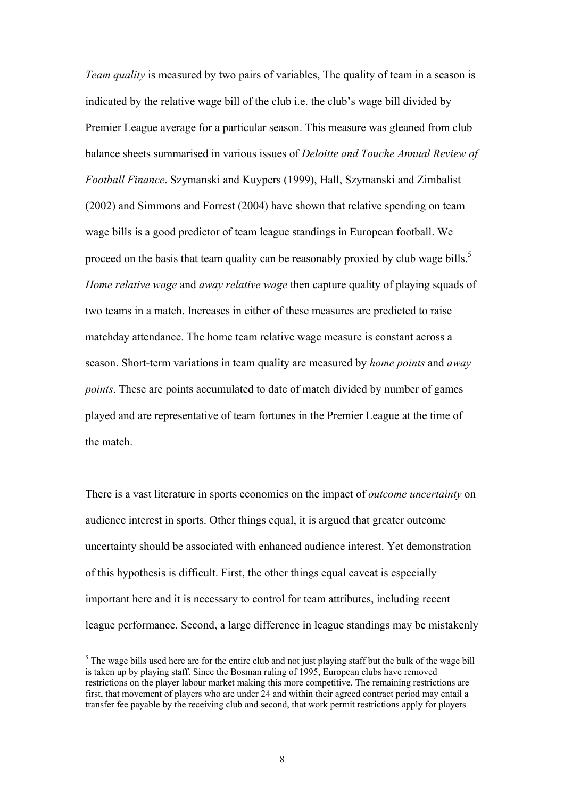*Team quality* is measured by two pairs of variables, The quality of team in a season is indicated by the relative wage bill of the club i.e. the club's wage bill divided by Premier League average for a particular season. This measure was gleaned from club balance sheets summarised in various issues of *Deloitte and Touche Annual Review of Football Finance*. Szymanski and Kuypers (1999), Hall, Szymanski and Zimbalist (2002) and Simmons and Forrest (2004) have shown that relative spending on team wage bills is a good predictor of team league standings in European football. We proceed on the basis that team quality can be reasonably proxied by club wage bills.<sup>[5](#page-8-0)</sup> *Home relative wage* and *away relative wage* then capture quality of playing squads of two teams in a match. Increases in either of these measures are predicted to raise matchday attendance. The home team relative wage measure is constant across a season. Short-term variations in team quality are measured by *home points* and *away points*. These are points accumulated to date of match divided by number of games played and are representative of team fortunes in the Premier League at the time of the match.

There is a vast literature in sports economics on the impact of *outcome uncertainty* on audience interest in sports. Other things equal, it is argued that greater outcome uncertainty should be associated with enhanced audience interest. Yet demonstration of this hypothesis is difficult. First, the other things equal caveat is especially important here and it is necessary to control for team attributes, including recent league performance. Second, a large difference in league standings may be mistakenly

<span id="page-8-0"></span> <sup>5</sup>  $\delta$  The wage bills used here are for the entire club and not just playing staff but the bulk of the wage bill is taken up by playing staff. Since the Bosman ruling of 1995, European clubs have removed restrictions on the player labour market making this more competitive. The remaining restrictions are first, that movement of players who are under 24 and within their agreed contract period may entail a transfer fee payable by the receiving club and second, that work permit restrictions apply for players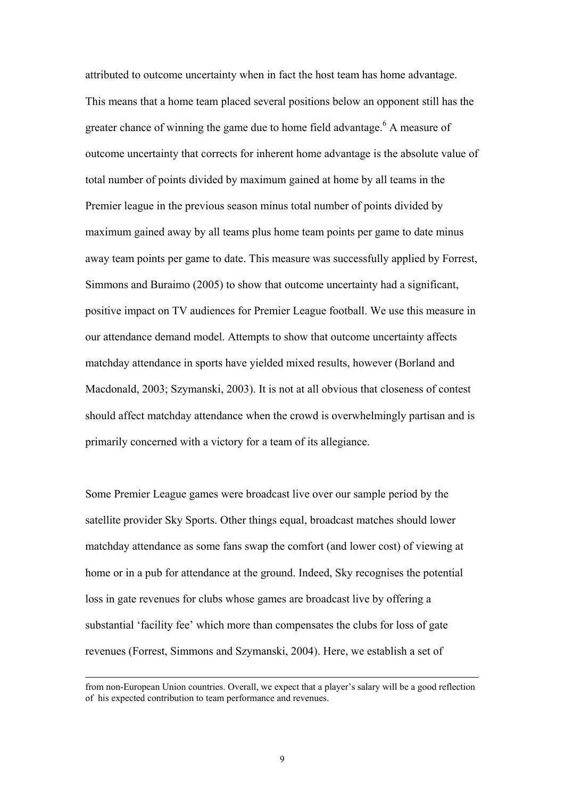attributed to outcome uncertainty when in fact the host team has home advantage. This means that a home team placed several positions below an opponent still has the greater chance of winning the game due to home field advantage.<sup>[6](#page-9-0)</sup> A measure of outcome uncertainty that corrects for inherent home advantage is the absolute value of total number of points divided by maximum gained at home by all teams in the Premier league in the previous season minus total number of points divided by maximum gained away by all teams plus home team points per game to date minus away team points per game to date. This measure was successfully applied by Forrest, Simmons and Buraimo (2005) to show that outcome uncertainty had a significant, positive impact on TV audiences for Premier League football. We use this measure in our attendance demand model. Attempts to show that outcome uncertainty affects matchday attendance in sports have yielded mixed results, however (Borland and Macdonald, 2003; Szymanski, 2003). It is not at all obvious that closeness of contest should affect matchday attendance when the crowd is overwhelmingly partisan and is primarily concerned with a victory for a team of its allegiance.

Some Premier League games were broadcast live over our sample period by the satellite provider Sky Sports. Other things equal, broadcast matches should lower matchday attendance as some fans swap the comfort (and lower cost) of viewing at home or in a pub for attendance at the ground. Indeed, Sky recognises the potential loss in gate revenues for clubs whose games are broadcast live by offering a substantial 'facility fee' which more than compensates the clubs for loss of gate revenues (Forrest, Simmons and Szymanski, 2004). Here, we establish a set of

 $\overline{a}$ 

<span id="page-9-0"></span>from non-European Union countries. Overall, we expect that a player's salary will be a good reflection of his expected contribution to team performance and revenues.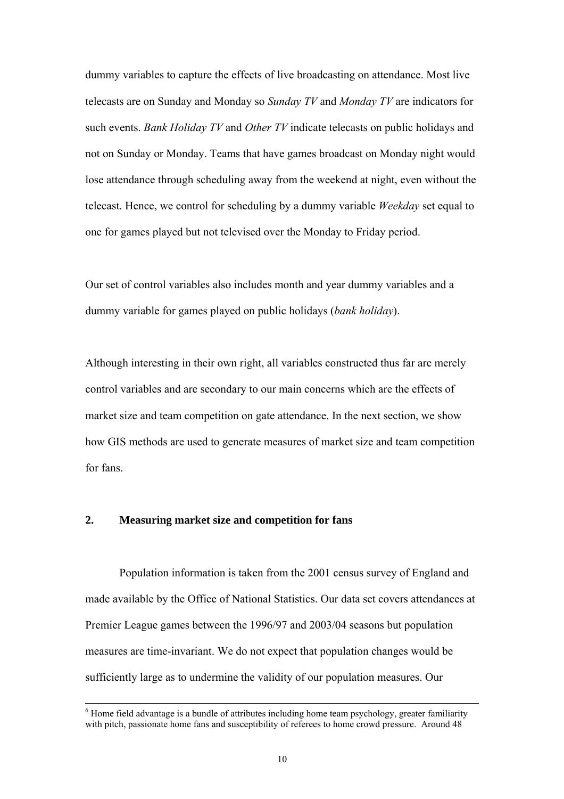dummy variables to capture the effects of live broadcasting on attendance. Most live telecasts are on Sunday and Monday so *Sunday TV* and *Monday TV* are indicators for such events. *Bank Holiday TV* and *Other TV* indicate telecasts on public holidays and not on Sunday or Monday. Teams that have games broadcast on Monday night would lose attendance through scheduling away from the weekend at night, even without the telecast. Hence, we control for scheduling by a dummy variable *Weekday* set equal to one for games played but not televised over the Monday to Friday period.

Our set of control variables also includes month and year dummy variables and a dummy variable for games played on public holidays (*bank holiday*).

Although interesting in their own right, all variables constructed thus far are merely control variables and are secondary to our main concerns which are the effects of market size and team competition on gate attendance. In the next section, we show how GIS methods are used to generate measures of market size and team competition for fans.

#### **2. Measuring market size and competition for fans**

Population information is taken from the 2001 census survey of England and made available by the Office of National Statistics. Our data set covers attendances at Premier League games between the 1996/97 and 2003/04 seasons but population measures are time-invariant. We do not expect that population changes would be sufficiently large as to undermine the validity of our population measures. Our

 <sup>6</sup>  $6$  Home field advantage is a bundle of attributes including home team psychology, greater familiarity with pitch, passionate home fans and susceptibility of referees to home crowd pressure. Around 48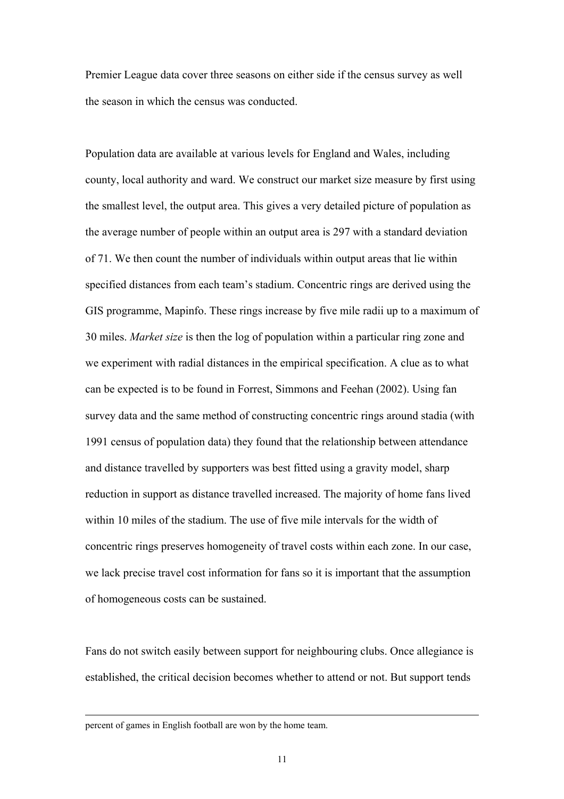Premier League data cover three seasons on either side if the census survey as well the season in which the census was conducted.

Population data are available at various levels for England and Wales, including county, local authority and ward. We construct our market size measure by first using the smallest level, the output area. This gives a very detailed picture of population as the average number of people within an output area is 297 with a standard deviation of 71. We then count the number of individuals within output areas that lie within specified distances from each team's stadium. Concentric rings are derived using the GIS programme, Mapinfo. These rings increase by five mile radii up to a maximum of 30 miles. *Market size* is then the log of population within a particular ring zone and we experiment with radial distances in the empirical specification. A clue as to what can be expected is to be found in Forrest, Simmons and Feehan (2002). Using fan survey data and the same method of constructing concentric rings around stadia (with 1991 census of population data) they found that the relationship between attendance and distance travelled by supporters was best fitted using a gravity model, sharp reduction in support as distance travelled increased. The majority of home fans lived within 10 miles of the stadium. The use of five mile intervals for the width of concentric rings preserves homogeneity of travel costs within each zone. In our case, we lack precise travel cost information for fans so it is important that the assumption of homogeneous costs can be sustained.

Fans do not switch easily between support for neighbouring clubs. Once allegiance is established, the critical decision becomes whether to attend or not. But support tends

percent of games in English football are won by the home team.

l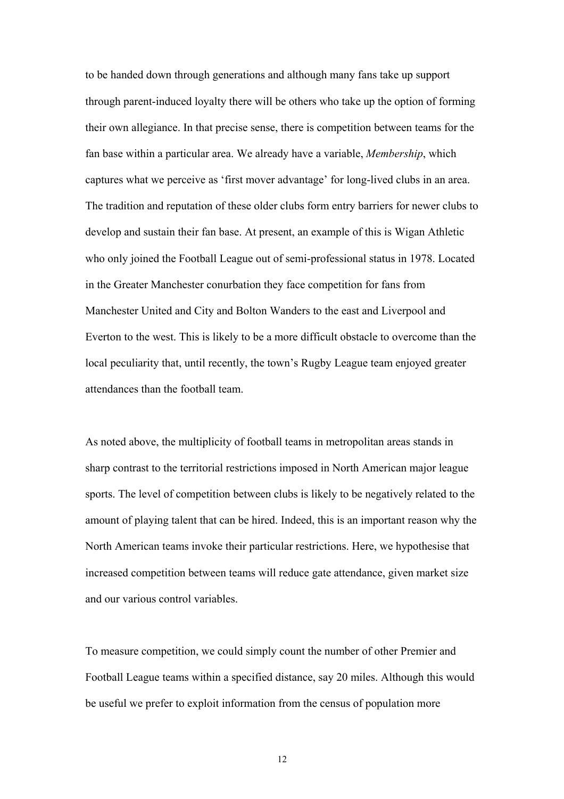to be handed down through generations and although many fans take up support through parent-induced loyalty there will be others who take up the option of forming their own allegiance. In that precise sense, there is competition between teams for the fan base within a particular area. We already have a variable, *Membership*, which captures what we perceive as 'first mover advantage' for long-lived clubs in an area. The tradition and reputation of these older clubs form entry barriers for newer clubs to develop and sustain their fan base. At present, an example of this is Wigan Athletic who only joined the Football League out of semi-professional status in 1978. Located in the Greater Manchester conurbation they face competition for fans from Manchester United and City and Bolton Wanders to the east and Liverpool and Everton to the west. This is likely to be a more difficult obstacle to overcome than the local peculiarity that, until recently, the town's Rugby League team enjoyed greater attendances than the football team.

As noted above, the multiplicity of football teams in metropolitan areas stands in sharp contrast to the territorial restrictions imposed in North American major league sports. The level of competition between clubs is likely to be negatively related to the amount of playing talent that can be hired. Indeed, this is an important reason why the North American teams invoke their particular restrictions. Here, we hypothesise that increased competition between teams will reduce gate attendance, given market size and our various control variables.

To measure competition, we could simply count the number of other Premier and Football League teams within a specified distance, say 20 miles. Although this would be useful we prefer to exploit information from the census of population more

12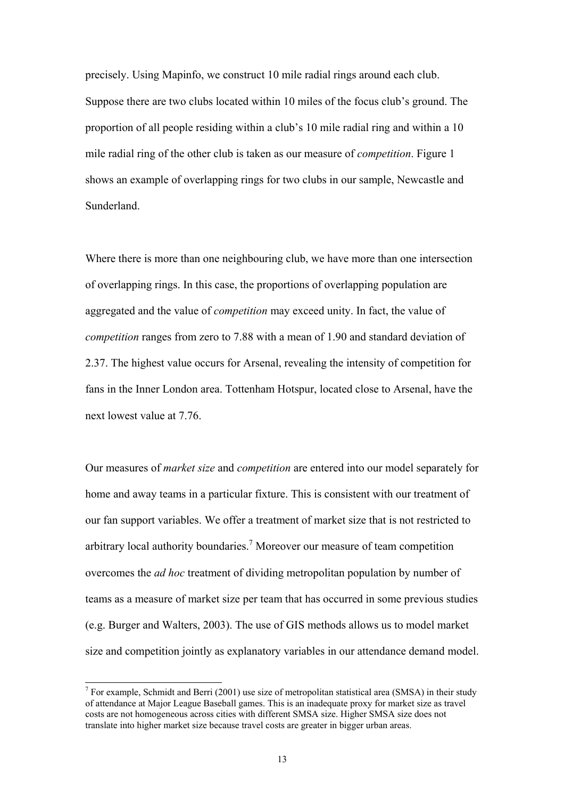precisely. Using Mapinfo, we construct 10 mile radial rings around each club. Suppose there are two clubs located within 10 miles of the focus club's ground. The proportion of all people residing within a club's 10 mile radial ring and within a 10 mile radial ring of the other club is taken as our measure of *competition*. Figure 1 shows an example of overlapping rings for two clubs in our sample, Newcastle and Sunderland.

Where there is more than one neighbouring club, we have more than one intersection of overlapping rings. In this case, the proportions of overlapping population are aggregated and the value of *competition* may exceed unity. In fact, the value of *competition* ranges from zero to 7.88 with a mean of 1.90 and standard deviation of 2.37. The highest value occurs for Arsenal, revealing the intensity of competition for fans in the Inner London area. Tottenham Hotspur, located close to Arsenal, have the next lowest value at 7.76.

Our measures of *market size* and *competition* are entered into our model separately for home and away teams in a particular fixture. This is consistent with our treatment of our fan support variables. We offer a treatment of market size that is not restricted to arbitrary local authority boundaries.<sup>[7](#page-13-0)</sup> Moreover our measure of team competition overcomes the *ad hoc* treatment of dividing metropolitan population by number of teams as a measure of market size per team that has occurred in some previous studies (e.g. Burger and Walters, 2003). The use of GIS methods allows us to model market size and competition jointly as explanatory variables in our attendance demand model.

<span id="page-13-0"></span><sup>7</sup> <sup>7</sup> For example, Schmidt and Berri (2001) use size of metropolitan statistical area (SMSA) in their study of attendance at Major League Baseball games. This is an inadequate proxy for market size as travel costs are not homogeneous across cities with different SMSA size. Higher SMSA size does not translate into higher market size because travel costs are greater in bigger urban areas.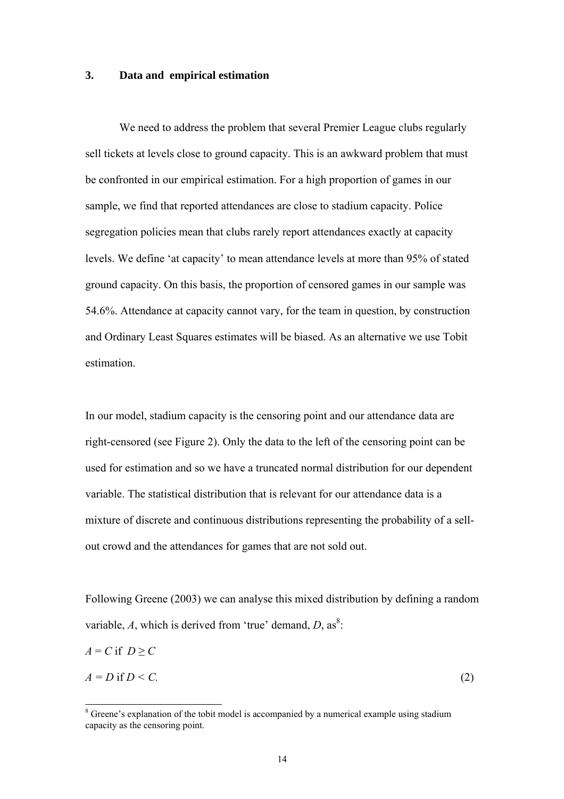#### **3. Data and empirical estimation**

We need to address the problem that several Premier League clubs regularly sell tickets at levels close to ground capacity. This is an awkward problem that must be confronted in our empirical estimation. For a high proportion of games in our sample, we find that reported attendances are close to stadium capacity. Police segregation policies mean that clubs rarely report attendances exactly at capacity levels. We define 'at capacity' to mean attendance levels at more than 95% of stated ground capacity. On this basis, the proportion of censored games in our sample was 54.6%. Attendance at capacity cannot vary, for the team in question, by construction and Ordinary Least Squares estimates will be biased. As an alternative we use Tobit estimation.

In our model, stadium capacity is the censoring point and our attendance data are right-censored (see Figure 2). Only the data to the left of the censoring point can be used for estimation and so we have a truncated normal distribution for our dependent variable. The statistical distribution that is relevant for our attendance data is a mixture of discrete and continuous distributions representing the probability of a sellout crowd and the attendances for games that are not sold out.

Following Greene (2003) we can analyse this mixed distribution by defining a random variable,  $A$ , which is derived from 'true' demand,  $D$ , as<sup>[8](#page-14-0)</sup>:

$$
A = C \text{ if } D \ge C
$$
  

$$
A = D \text{ if } D < C. \tag{2}
$$

<span id="page-14-0"></span> <sup>8</sup>  $\delta$  Greene's explanation of the tobit model is accompanied by a numerical example using stadium capacity as the censoring point.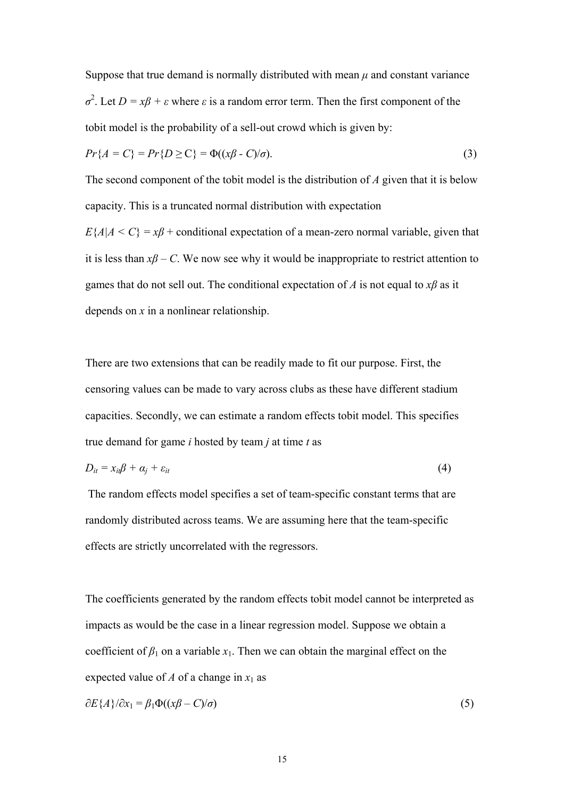Suppose that true demand is normally distributed with mean  $\mu$  and constant variance  $σ<sup>2</sup>$ . Let *D* = *xβ* + *ε* where *ε* is a random error term. Then the first component of the tobit model is the probability of a sell-out crowd which is given by:

$$
Pr{A = C} = Pr{D \ge C} = \Phi((x\beta - C)/\sigma).
$$
\n(3)

The second component of the tobit model is the distribution of *A* given that it is below capacity. This is a truncated normal distribution with expectation

 $E\{A|A \leq C\} = x\beta$  + conditional expectation of a mean-zero normal variable, given that it is less than  $x\beta$  – C. We now see why it would be inappropriate to restrict attention to games that do not sell out. The conditional expectation of *A* is not equal to  $x\beta$  as it depends on *x* in a nonlinear relationship.

There are two extensions that can be readily made to fit our purpose. First, the censoring values can be made to vary across clubs as these have different stadium capacities. Secondly, we can estimate a random effects tobit model. This specifies true demand for game *i* hosted by team *j* at time *t* as

$$
D_{it} = x_{it} \beta + \alpha_j + \varepsilon_{it} \tag{4}
$$

 The random effects model specifies a set of team-specific constant terms that are randomly distributed across teams. We are assuming here that the team-specific effects are strictly uncorrelated with the regressors.

The coefficients generated by the random effects tobit model cannot be interpreted as impacts as would be the case in a linear regression model. Suppose we obtain a coefficient of  $\beta_1$  on a variable  $x_1$ . Then we can obtain the marginal effect on the expected value of *A* of a change in  $x_1$  as

$$
\partial E\{A\} / \partial x_1 = \beta_1 \Phi((x\beta - C)/\sigma) \tag{5}
$$

15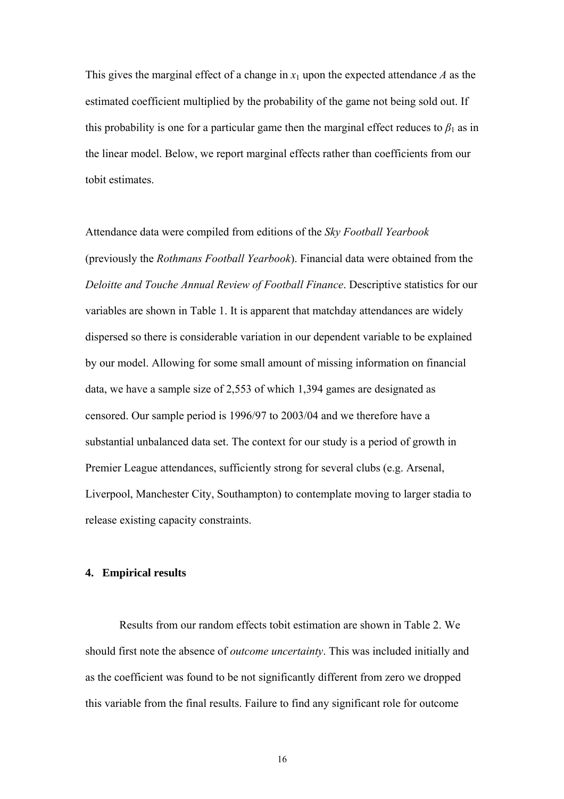This gives the marginal effect of a change in  $x_1$  upon the expected attendance A as the estimated coefficient multiplied by the probability of the game not being sold out. If this probability is one for a particular game then the marginal effect reduces to  $\beta_1$  as in the linear model. Below, we report marginal effects rather than coefficients from our tobit estimates.

Attendance data were compiled from editions of the *Sky Football Yearbook*  (previously the *Rothmans Football Yearbook*). Financial data were obtained from the *Deloitte and Touche Annual Review of Football Finance*. Descriptive statistics for our variables are shown in Table 1. It is apparent that matchday attendances are widely dispersed so there is considerable variation in our dependent variable to be explained by our model. Allowing for some small amount of missing information on financial data, we have a sample size of 2,553 of which 1,394 games are designated as censored. Our sample period is 1996/97 to 2003/04 and we therefore have a substantial unbalanced data set. The context for our study is a period of growth in Premier League attendances, sufficiently strong for several clubs (e.g. Arsenal, Liverpool, Manchester City, Southampton) to contemplate moving to larger stadia to release existing capacity constraints.

#### **4. Empirical results**

Results from our random effects tobit estimation are shown in Table 2. We should first note the absence of *outcome uncertainty*. This was included initially and as the coefficient was found to be not significantly different from zero we dropped this variable from the final results. Failure to find any significant role for outcome

16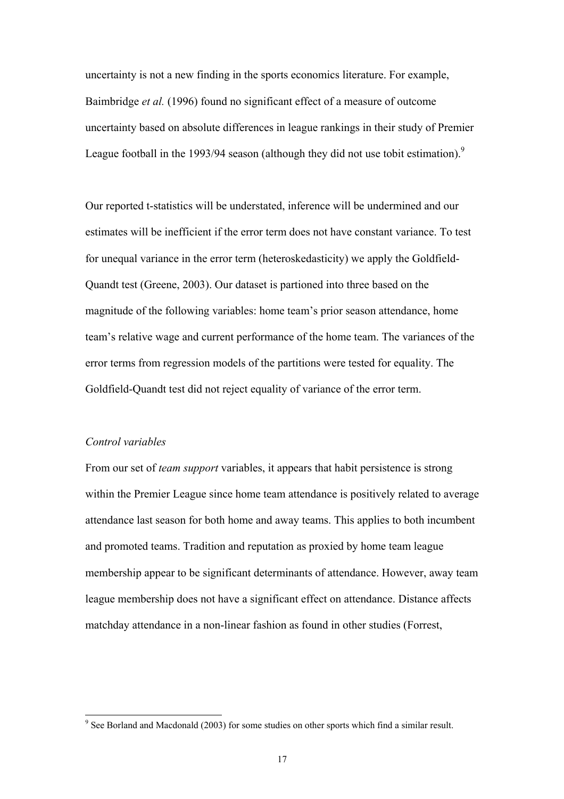uncertainty is not a new finding in the sports economics literature. For example, Baimbridge *et al.* (1996) found no significant effect of a measure of outcome uncertainty based on absolute differences in league rankings in their study of Premier League football in the 1[9](#page-17-0)93/94 season (although they did not use tobit estimation).<sup>9</sup>

Our reported t-statistics will be understated, inference will be undermined and our estimates will be inefficient if the error term does not have constant variance. To test for unequal variance in the error term (heteroskedasticity) we apply the Goldfield-Quandt test (Greene, 2003). Our dataset is partioned into three based on the magnitude of the following variables: home team's prior season attendance, home team's relative wage and current performance of the home team. The variances of the error terms from regression models of the partitions were tested for equality. The Goldfield-Quandt test did not reject equality of variance of the error term.

#### *Control variables*

From our set of *team support* variables, it appears that habit persistence is strong within the Premier League since home team attendance is positively related to average attendance last season for both home and away teams. This applies to both incumbent and promoted teams. Tradition and reputation as proxied by home team league membership appear to be significant determinants of attendance. However, away team league membership does not have a significant effect on attendance. Distance affects matchday attendance in a non-linear fashion as found in other studies (Forrest,

<span id="page-17-0"></span><sup>.&</sup>lt;br>9  $9^9$  See Borland and Macdonald (2003) for some studies on other sports which find a similar result.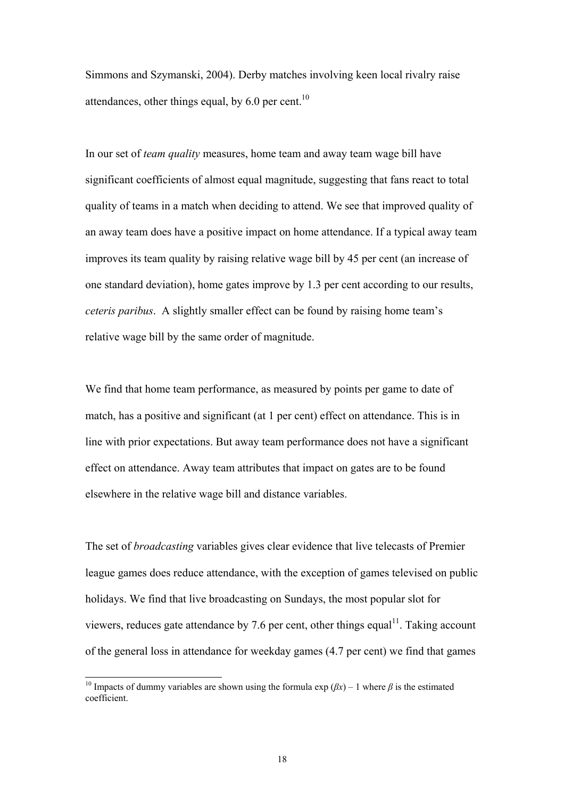Simmons and Szymanski, 2004). Derby matches involving keen local rivalry raise attendances, other things equal, by  $6.0$  per cent.<sup>10</sup>

In our set of *team quality* measures, home team and away team wage bill have significant coefficients of almost equal magnitude, suggesting that fans react to total quality of teams in a match when deciding to attend. We see that improved quality of an away team does have a positive impact on home attendance. If a typical away team improves its team quality by raising relative wage bill by 45 per cent (an increase of one standard deviation), home gates improve by 1.3 per cent according to our results, *ceteris paribus*. A slightly smaller effect can be found by raising home team's relative wage bill by the same order of magnitude.

We find that home team performance, as measured by points per game to date of match, has a positive and significant (at 1 per cent) effect on attendance. This is in line with prior expectations. But away team performance does not have a significant effect on attendance. Away team attributes that impact on gates are to be found elsewhere in the relative wage bill and distance variables.

The set of *broadcasting* variables gives clear evidence that live telecasts of Premier league games does reduce attendance, with the exception of games televised on public holidays. We find that live broadcasting on Sundays, the most popular slot for viewers, reduces gate attendance by 7.6 per cent, other things equal<sup>11</sup>. Taking account of the general loss in attendance for weekday games (4.7 per cent) we find that games

<span id="page-18-1"></span><span id="page-18-0"></span><sup>&</sup>lt;sup>10</sup> Impacts of dummy variables are shown using the formula exp  $(\beta x) - 1$  where  $\beta$  is the estimated coefficient.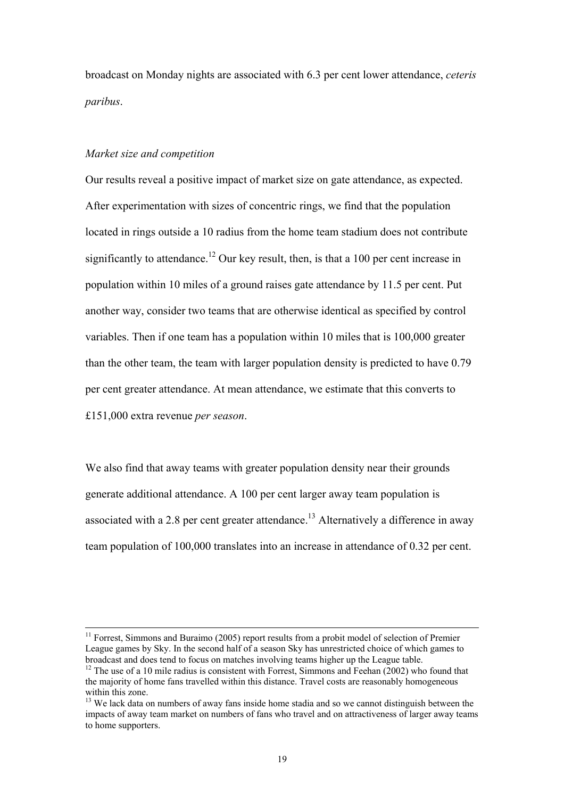broadcast on Monday nights are associated with 6.3 per cent lower attendance, *ceteris paribus*.

#### *Market size and competition*

Our results reveal a positive impact of market size on gate attendance, as expected. After experimentation with sizes of concentric rings, we find that the population located in rings outside a 10 radius from the home team stadium does not contribute significantly to attendance.<sup>12</sup> Our key result, then, is that a 100 per cent increase in population within 10 miles of a ground raises gate attendance by 11.5 per cent. Put another way, consider two teams that are otherwise identical as specified by control variables. Then if one team has a population within 10 miles that is 100,000 greater than the other team, the team with larger population density is predicted to have 0.79 per cent greater attendance. At mean attendance, we estimate that this converts to £151,000 extra revenue *per season*.

We also find that away teams with greater population density near their grounds generate additional attendance. A 100 per cent larger away team population is associated with a 2.8 per cent greater attendance.<sup>13</sup> Alternatively a difference in away team population of 100,000 translates into an increase in attendance of 0.32 per cent.

 $11$  Forrest, Simmons and Buraimo (2005) report results from a probit model of selection of Premier League games by Sky. In the second half of a season Sky has unrestricted choice of which games to broadcast and does tend to focus on matches involving teams higher up the League table. <sup>12</sup> The use of a 10 mile radius is consistent with Forrest, Simmons and Feehan (2002) who found that

<span id="page-19-0"></span>the majority of home fans travelled within this distance. Travel costs are reasonably homogeneous within this zone.<br><sup>13</sup> We lack data on numbers of away fans inside home stadia and so we cannot distinguish between the

<span id="page-19-1"></span>impacts of away team market on numbers of fans who travel and on attractiveness of larger away teams to home supporters.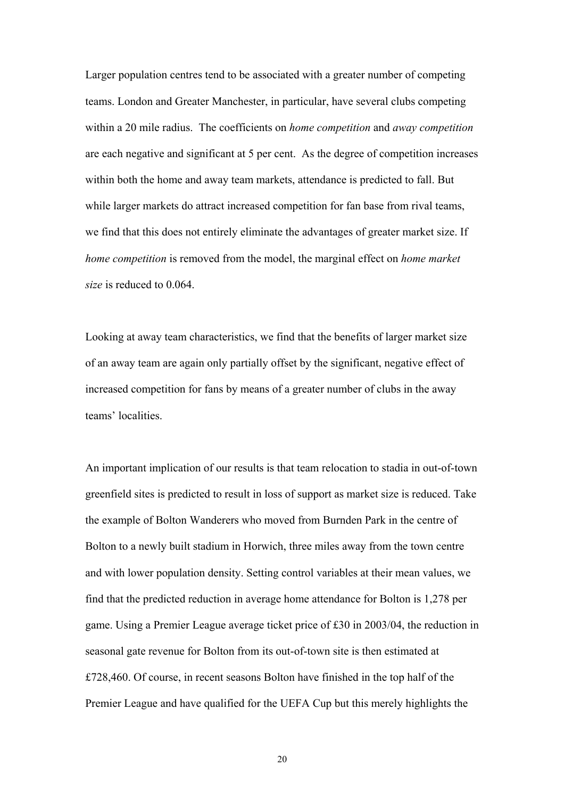Larger population centres tend to be associated with a greater number of competing teams. London and Greater Manchester, in particular, have several clubs competing within a 20 mile radius. The coefficients on *home competition* and *away competition* are each negative and significant at 5 per cent. As the degree of competition increases within both the home and away team markets, attendance is predicted to fall. But while larger markets do attract increased competition for fan base from rival teams, we find that this does not entirely eliminate the advantages of greater market size. If *home competition* is removed from the model, the marginal effect on *home market size* is reduced to 0.064.

Looking at away team characteristics, we find that the benefits of larger market size of an away team are again only partially offset by the significant, negative effect of increased competition for fans by means of a greater number of clubs in the away teams' localities.

An important implication of our results is that team relocation to stadia in out-of-town greenfield sites is predicted to result in loss of support as market size is reduced. Take the example of Bolton Wanderers who moved from Burnden Park in the centre of Bolton to a newly built stadium in Horwich, three miles away from the town centre and with lower population density. Setting control variables at their mean values, we find that the predicted reduction in average home attendance for Bolton is 1,278 per game. Using a Premier League average ticket price of £30 in 2003/04, the reduction in seasonal gate revenue for Bolton from its out-of-town site is then estimated at £728,460. Of course, in recent seasons Bolton have finished in the top half of the Premier League and have qualified for the UEFA Cup but this merely highlights the

20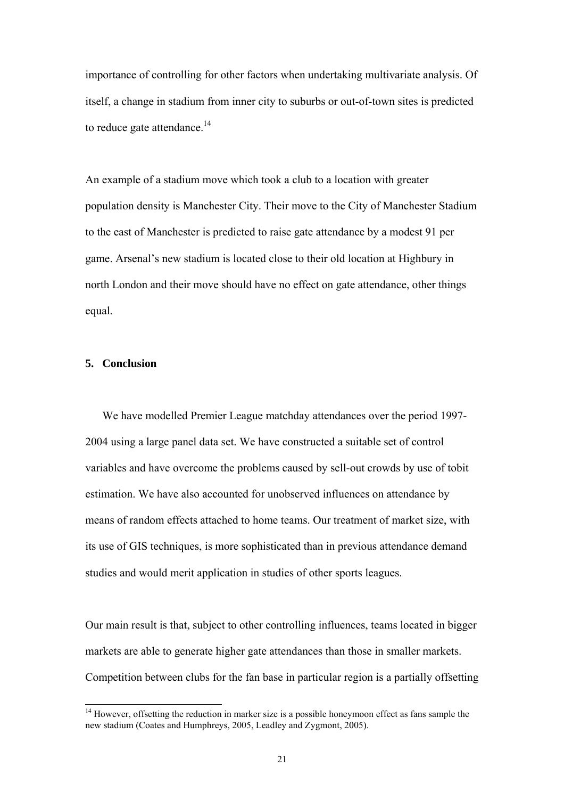importance of controlling for other factors when undertaking multivariate analysis. Of itself, a change in stadium from inner city to suburbs or out-of-town sites is predicted to reduce gate attendance.<sup>[14](#page-21-0)</sup>

An example of a stadium move which took a club to a location with greater population density is Manchester City. Their move to the City of Manchester Stadium to the east of Manchester is predicted to raise gate attendance by a modest 91 per game. Arsenal's new stadium is located close to their old location at Highbury in north London and their move should have no effect on gate attendance, other things equal.

## **5. Conclusion**

We have modelled Premier League matchday attendances over the period 1997- 2004 using a large panel data set. We have constructed a suitable set of control variables and have overcome the problems caused by sell-out crowds by use of tobit estimation. We have also accounted for unobserved influences on attendance by means of random effects attached to home teams. Our treatment of market size, with its use of GIS techniques, is more sophisticated than in previous attendance demand studies and would merit application in studies of other sports leagues.

Our main result is that, subject to other controlling influences, teams located in bigger markets are able to generate higher gate attendances than those in smaller markets. Competition between clubs for the fan base in particular region is a partially offsetting

<span id="page-21-0"></span><sup>&</sup>lt;sup>14</sup> However, offsetting the reduction in marker size is a possible honeymoon effect as fans sample the new stadium (Coates and Humphreys, 2005, Leadley and Zygmont, 2005).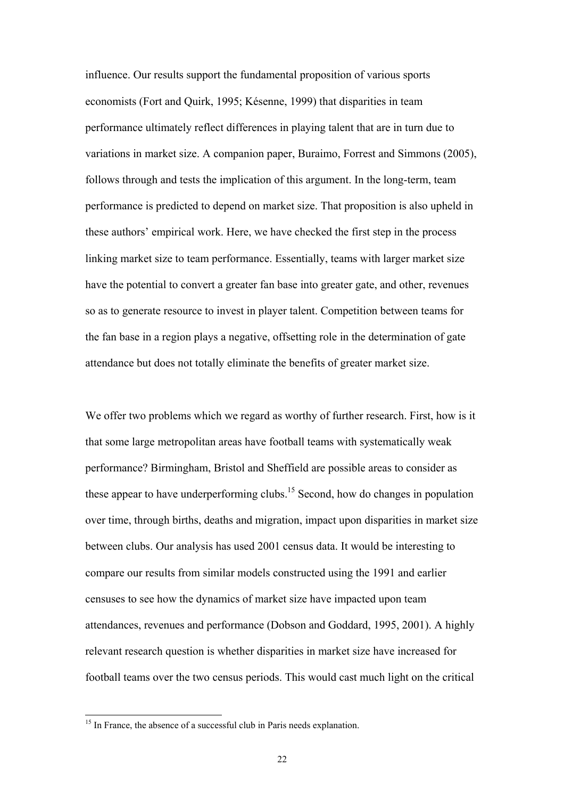influence. Our results support the fundamental proposition of various sports economists (Fort and Quirk, 1995; Késenne, 1999) that disparities in team performance ultimately reflect differences in playing talent that are in turn due to variations in market size. A companion paper, Buraimo, Forrest and Simmons (2005), follows through and tests the implication of this argument. In the long-term, team performance is predicted to depend on market size. That proposition is also upheld in these authors' empirical work. Here, we have checked the first step in the process linking market size to team performance. Essentially, teams with larger market size have the potential to convert a greater fan base into greater gate, and other, revenues so as to generate resource to invest in player talent. Competition between teams for the fan base in a region plays a negative, offsetting role in the determination of gate attendance but does not totally eliminate the benefits of greater market size.

We offer two problems which we regard as worthy of further research. First, how is it that some large metropolitan areas have football teams with systematically weak performance? Birmingham, Bristol and Sheffield are possible areas to consider as these appear to have underperforming clubs.<sup>15</sup> Second, how do changes in population over time, through births, deaths and migration, impact upon disparities in market size between clubs. Our analysis has used 2001 census data. It would be interesting to compare our results from similar models constructed using the 1991 and earlier censuses to see how the dynamics of market size have impacted upon team attendances, revenues and performance (Dobson and Goddard, 1995, 2001). A highly relevant research question is whether disparities in market size have increased for football teams over the two census periods. This would cast much light on the critical

<span id="page-22-0"></span><sup>&</sup>lt;sup>15</sup> In France, the absence of a successful club in Paris needs explanation.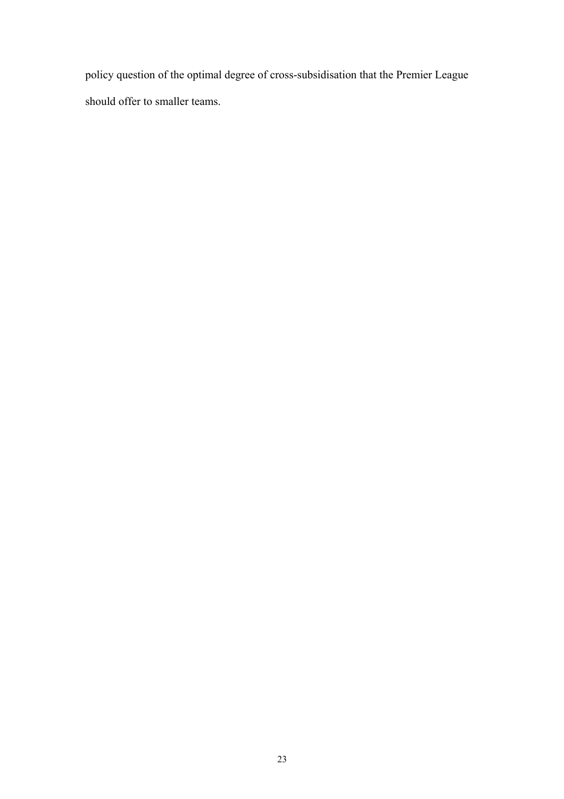policy question of the optimal degree of cross-subsidisation that the Premier League should offer to smaller teams.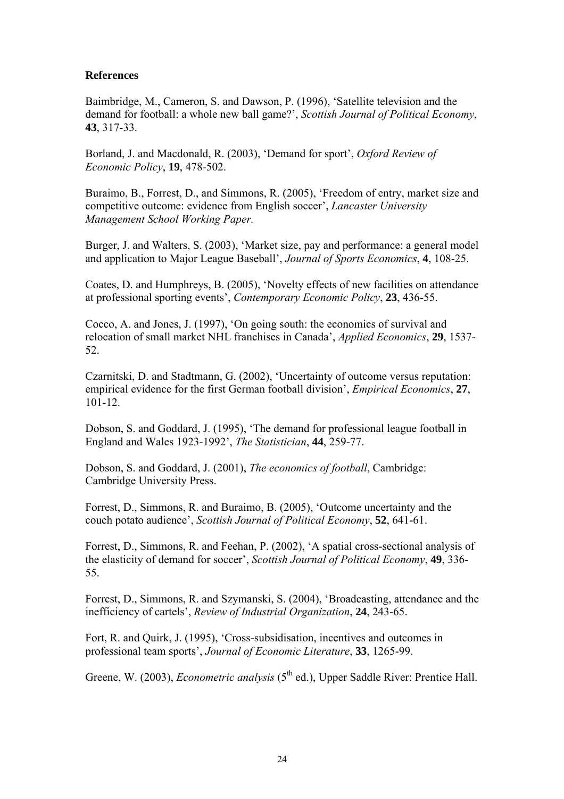## **References**

Baimbridge, M., Cameron, S. and Dawson, P. (1996), 'Satellite television and the demand for football: a whole new ball game?', *Scottish Journal of Political Economy*, **43**, 317-33.

Borland, J. and Macdonald, R. (2003), 'Demand for sport', *Oxford Review of Economic Policy*, **19**, 478-502.

Buraimo, B., Forrest, D., and Simmons, R. (2005), 'Freedom of entry, market size and competitive outcome: evidence from English soccer', *Lancaster University Management School Working Paper.* 

Burger, J. and Walters, S. (2003), 'Market size, pay and performance: a general model and application to Major League Baseball', *Journal of Sports Economics*, **4**, 108-25.

Coates, D. and Humphreys, B. (2005), 'Novelty effects of new facilities on attendance at professional sporting events', *Contemporary Economic Policy*, **23**, 436-55.

Cocco, A. and Jones, J. (1997), 'On going south: the economics of survival and relocation of small market NHL franchises in Canada', *Applied Economics*, **29**, 1537- 52.

Czarnitski, D. and Stadtmann, G. (2002), 'Uncertainty of outcome versus reputation: empirical evidence for the first German football division', *Empirical Economics*, **27**, 101-12.

Dobson, S. and Goddard, J. (1995), 'The demand for professional league football in England and Wales 1923-1992', *The Statistician*, **44**, 259-77.

Dobson, S. and Goddard, J. (2001), *The economics of football*, Cambridge: Cambridge University Press.

Forrest, D., Simmons, R. and Buraimo, B. (2005), 'Outcome uncertainty and the couch potato audience', *Scottish Journal of Political Economy*, **52**, 641-61.

Forrest, D., Simmons, R. and Feehan, P. (2002), 'A spatial cross-sectional analysis of the elasticity of demand for soccer', *Scottish Journal of Political Economy*, **49**, 336- 55.

Forrest, D., Simmons, R. and Szymanski, S. (2004), 'Broadcasting, attendance and the inefficiency of cartels', *Review of Industrial Organization*, **24**, 243-65.

Fort, R. and Quirk, J. (1995), 'Cross-subsidisation, incentives and outcomes in professional team sports', *Journal of Economic Literature*, **33**, 1265-99.

Greene, W. (2003), *Econometric analysis* (5<sup>th</sup> ed.), Upper Saddle River: Prentice Hall.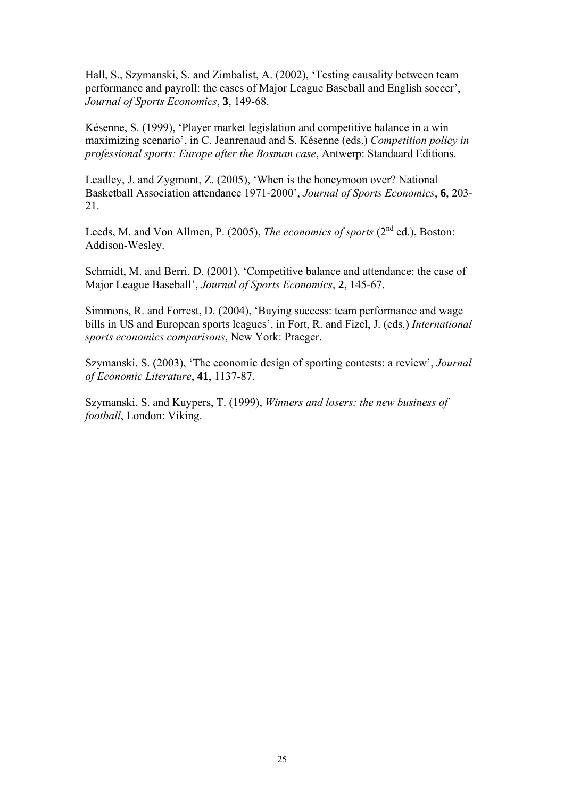Hall, S., Szymanski, S. and Zimbalist, A. (2002), 'Testing causality between team performance and payroll: the cases of Major League Baseball and English soccer', *Journal of Sports Economics*, **3**, 149-68.

Késenne, S. (1999), 'Player market legislation and competitive balance in a win maximizing scenario', in C. Jeanrenaud and S. Késenne (eds.) *Competition policy in professional sports: Europe after the Bosman case*, Antwerp: Standaard Editions.

Leadley, J. and Zygmont, Z. (2005), 'When is the honeymoon over? National Basketball Association attendance 1971-2000', *Journal of Sports Economics*, **6**, 203- 21.

Leeds, M. and Von Allmen, P. (2005), *The economics of sports* (2<sup>nd</sup> ed.), Boston: Addison-Wesley.

Schmidt, M. and Berri, D. (2001), 'Competitive balance and attendance: the case of Major League Baseball', *Journal of Sports Economics*, **2**, 145-67.

Simmons, R. and Forrest, D. (2004), 'Buying success: team performance and wage bills in US and European sports leagues', in Fort, R. and Fizel, J. (eds.) *International sports economics comparisons*, New York: Praeger.

Szymanski, S. (2003), 'The economic design of sporting contests: a review', *Journal of Economic Literature*, **41**, 1137-87.

Szymanski, S. and Kuypers, T. (1999), *Winners and losers: the new business of football*, London: Viking.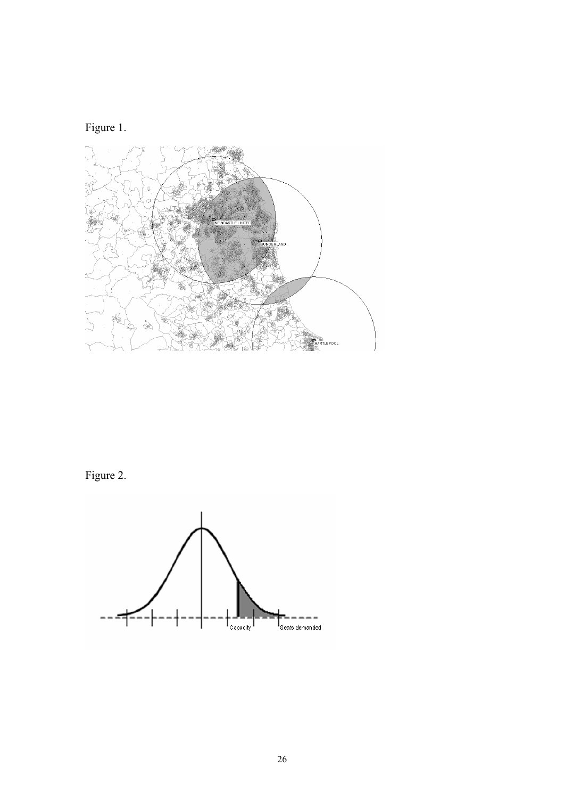



Figure 2.

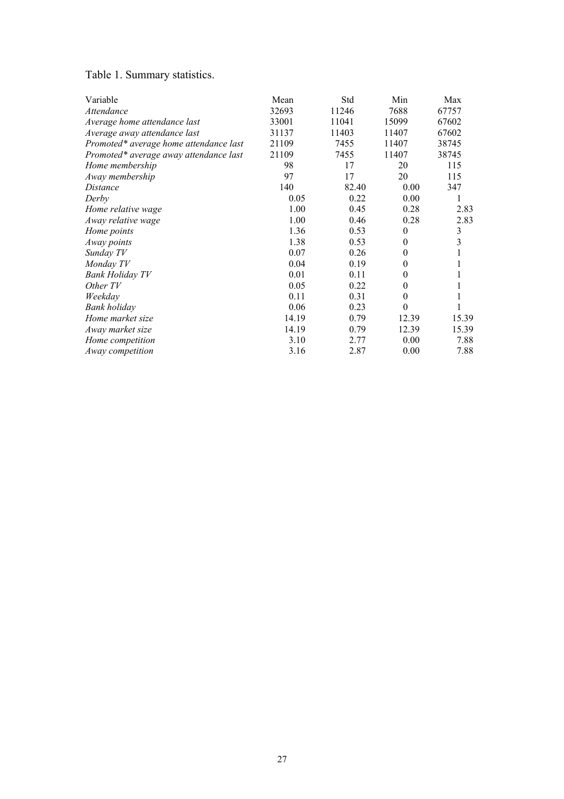## Table 1. Summary statistics.

| Variable                               | Mean  | Std   | Min              | Max            |
|----------------------------------------|-------|-------|------------------|----------------|
| Attendance                             | 32693 | 11246 | 7688             | 67757          |
| Average home attendance last           | 33001 | 11041 | 15099            | 67602          |
| Average away attendance last           | 31137 | 11403 | 11407            | 67602          |
| Promoted* average home attendance last | 21109 | 7455  | 11407            | 38745          |
| Promoted* average away attendance last | 21109 | 7455  | 11407            | 38745          |
| Home membership                        | 98    | 17    | 20               | 115            |
| Away membership                        | 97    | 17    | 20               | 115            |
| Distance                               | 140   | 82.40 | 0.00             | 347            |
| Derby                                  | 0.05  | 0.22  | 0.00             |                |
| Home relative wage                     | 1.00  | 0.45  | 0.28             | 2.83           |
| Away relative wage                     | 1.00  | 0.46  | 0.28             | 2.83           |
| Home points                            | 1.36  | 0.53  | $\boldsymbol{0}$ | $\mathfrak{Z}$ |
| Away points                            | 1.38  | 0.53  | $\theta$         | 3              |
| Sunday TV                              | 0.07  | 0.26  | $\theta$         |                |
| Monday TV                              | 0.04  | 0.19  | $\theta$         |                |
| <b>Bank Holiday TV</b>                 | 0.01  | 0.11  | $\theta$         |                |
| Other TV                               | 0.05  | 0.22  | $\theta$         |                |
| Weekday                                | 0.11  | 0.31  | $\theta$         |                |
| Bank holiday                           | 0.06  | 0.23  | $\theta$         |                |
| Home market size                       | 14.19 | 0.79  | 12.39            | 15.39          |
| Away market size                       | 14.19 | 0.79  | 12.39            | 15.39          |
| Home competition                       | 3.10  | 2.77  | 0.00             | 7.88           |
| Away competition                       | 3.16  | 2.87  | 0.00             | 7.88           |